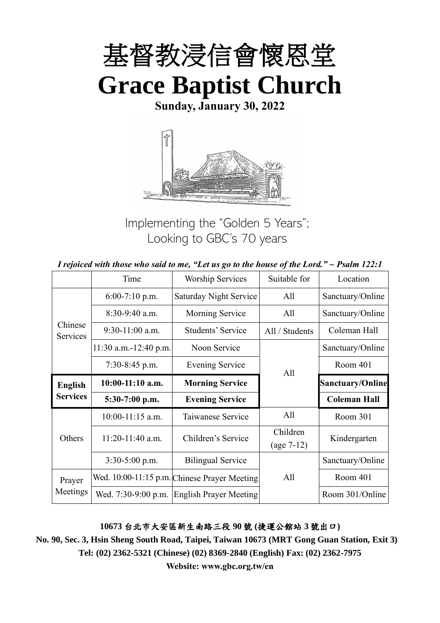

**Sunday, January 30, 2022**



Implementing the "Golden 5 Years"; Looking to GBC's 70 years

|  | I rejoiced with those who said to me, "Let us go to the house of the Lord." $\sim$ Psalm 122:1 |
|--|------------------------------------------------------------------------------------------------|
|--|------------------------------------------------------------------------------------------------|

|                     | Time                  | <b>Worship Services</b>                      | Suitable for             | Location                |
|---------------------|-----------------------|----------------------------------------------|--------------------------|-------------------------|
|                     | $6:00-7:10$ p.m.      | Saturday Night Service                       | All                      | Sanctuary/Online        |
|                     | 8:30-9:40 a.m.        | Morning Service                              | All                      | Sanctuary/Online        |
| Chinese<br>Services | $9:30-11:00$ a.m.     | Students' Service                            | All / Students           | Coleman Hall            |
|                     | 11:30 a.m.-12:40 p.m. | Noon Service                                 |                          | Sanctuary/Online        |
|                     | $7:30-8:45$ p.m.      | <b>Evening Service</b>                       | All                      | Room 401                |
| <b>English</b>      | $10:00-11:10$ a.m.    | <b>Morning Service</b>                       |                          | <b>Sanctuary/Online</b> |
| <b>Services</b>     | 5:30-7:00 p.m.        | <b>Evening Service</b>                       |                          | <b>Coleman Hall</b>     |
|                     | $10:00-11:15$ a.m.    | Taiwanese Service                            | All                      | Room 301                |
| Others              | $11:20-11:40$ a.m.    | Children's Service                           | Children<br>$(age 7-12)$ | Kindergarten            |
|                     | $3:30-5:00$ p.m.      | <b>Bilingual Service</b>                     |                          | Sanctuary/Online        |
| Prayer              |                       | Wed. 10:00-11:15 p.m. Chinese Prayer Meeting | All                      | Room 401                |
| Meetings            | Wed. 7:30-9:00 p.m.   | <b>English Prayer Meeting</b>                |                          | Room 301/Online         |

## **10673** 台北市大安區新生南路三段 **90** 號 **(**捷運公館站 **3** 號出口**)**

**No. 90, Sec. 3, Hsin Sheng South Road, Taipei, Taiwan 10673 (MRT Gong Guan Station, Exit 3) Tel: (02) 2362-5321 (Chinese) (02) 8369-2840 (English) Fax: (02) 2362-7975**

**Website: www.gbc.org.tw/en**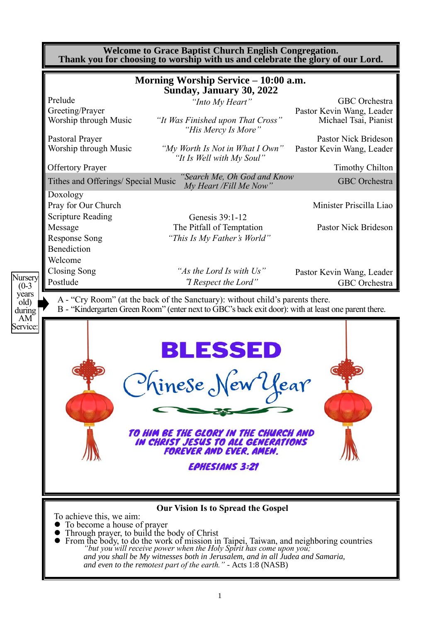|                            | <b>Welcome to Grace Baptist Church English Congregation.</b><br>Thank you for choosing to worship with us and celebrate the glory of our Lord. |                                                                                                                                                                                                                                                                                                                                                               |                                                                     |  |
|----------------------------|------------------------------------------------------------------------------------------------------------------------------------------------|---------------------------------------------------------------------------------------------------------------------------------------------------------------------------------------------------------------------------------------------------------------------------------------------------------------------------------------------------------------|---------------------------------------------------------------------|--|
|                            |                                                                                                                                                | Morning Worship Service – 10:00 a.m.<br>Sunday, January 30, 2022                                                                                                                                                                                                                                                                                              |                                                                     |  |
|                            | Prelude<br>Greeting/Prayer<br>Worship through Music                                                                                            | "Into My Heart"<br>"It Was Finished upon That Cross"                                                                                                                                                                                                                                                                                                          | GBC Orchestra<br>Pastor Kevin Wang, Leader<br>Michael Tsai, Pianist |  |
|                            | Pastoral Prayer<br>Worship through Music                                                                                                       | "His Mercy Is More"<br>"My Worth Is Not in What I Own"                                                                                                                                                                                                                                                                                                        | <b>Pastor Nick Brideson</b><br>Pastor Kevin Wang, Leader            |  |
|                            | <b>Offertory Prayer</b>                                                                                                                        | "It Is Well with My Soul"                                                                                                                                                                                                                                                                                                                                     | <b>Timothy Chilton</b>                                              |  |
|                            | Tithes and Offerings/ Special Music                                                                                                            | "Search Me, Oh God and Know<br>My Heart /Fill Me Now"                                                                                                                                                                                                                                                                                                         | <b>GBC</b> Orchestra                                                |  |
|                            | Doxology<br>Pray for Our Church                                                                                                                |                                                                                                                                                                                                                                                                                                                                                               | Minister Priscilla Liao                                             |  |
|                            | <b>Scripture Reading</b><br>Message<br><b>Response Song</b>                                                                                    | Genesis 39:1-12<br>The Pitfall of Temptation<br>"This Is My Father's World"                                                                                                                                                                                                                                                                                   | <b>Pastor Nick Brideson</b>                                         |  |
|                            | Benediction<br>Welcome                                                                                                                         |                                                                                                                                                                                                                                                                                                                                                               |                                                                     |  |
| Nursery<br>$(0-3)$         | Closing Song<br>Postlude                                                                                                                       | "As the Lord Is with Us"<br>"I Respect the Lord"                                                                                                                                                                                                                                                                                                              | Pastor Kevin Wang, Leader<br>GBC Orchestra                          |  |
| years<br>old)<br>during    |                                                                                                                                                | A - "Cry Room" (at the back of the Sanctuary): without child's parents there.<br>B - "Kindergarten Green Room" (enter next to GBC's back exit door): with at least one parent there.                                                                                                                                                                          |                                                                     |  |
| AM <sup></sup><br>Service: |                                                                                                                                                | <b>BLESSED</b><br>Chinese New Year<br>TO HIM BE THE GLORY IN THE CHURCH AND<br><b>IN CHRIST JESUS TO ALL GENERATIONS</b><br>FOREVER AND EVER. AMEN.<br><b>EPHESIANS 3:21</b>                                                                                                                                                                                  |                                                                     |  |
|                            | To achieve this, we aim:<br>• To become a house of prayer<br>• Through prayer, to build the body of Christ                                     | <b>Our Vision Is to Spread the Gospel</b><br>From the body, to do the work of mission in Taipei, Taiwan, and neighboring countries<br>"but you will receive power when the Holy Spirit has come upon you;<br>and you shall be My witnesses both in Jerusalem, and in all Judea and Samaria,<br>and even to the remotest part of the earth." - Acts 1:8 (NASB) |                                                                     |  |

1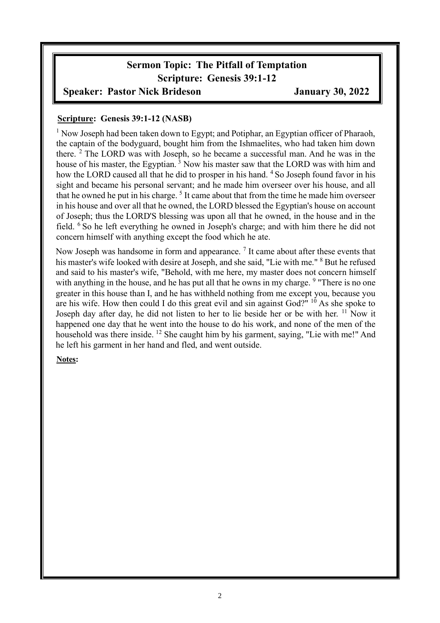# **Sermon Topic: The Pitfall of Temptation Scripture: Genesis 39:1-12**

## **Speaker: Pastor Nick Brideson January 30, 2022**

## **Scripture: Genesis 39:1-12 (NASB)**

<sup>1</sup> Now Joseph had been taken down to Egypt; and Potiphar, an Egyptian officer of Pharaoh, the captain of the bodyguard, bought him from the Ishmaelites, who had taken him down there. <sup>2</sup> The LORD was with Joseph, so he became a successful man. And he was in the house of his master, the Egyptian.<sup>3</sup> Now his master saw that the LORD was with him and how the LORD caused all that he did to prosper in his hand. <sup>4</sup> So Joseph found favor in his sight and became his personal servant; and he made him overseer over his house, and all that he owned he put in his charge.<sup>5</sup> It came about that from the time he made him overseer in his house and over all that he owned, the LORD blessed the Egyptian's house on account of Joseph; thus the LORD'S blessing was upon all that he owned, in the house and in the field. <sup>6</sup> So he left everything he owned in Joseph's charge; and with him there he did not concern himself with anything except the food which he ate.

Now Joseph was handsome in form and appearance.  $<sup>7</sup>$  It came about after these events that</sup> his master's wife looked with desire at Joseph, and she said, "Lie with me." <sup>8</sup> But he refused and said to his master's wife, "Behold, with me here, my master does not concern himself with anything in the house, and he has put all that he owns in my charge. <sup>9</sup> "There is no one greater in this house than I, and he has withheld nothing from me except you, because you are his wife. How then could I do this great evil and sin against God?"  $10^6$  As she spoke to Joseph day after day, he did not listen to her to lie beside her or be with her. <sup>11</sup> Now it happened one day that he went into the house to do his work, and none of the men of the household was there inside. <sup>12</sup> She caught him by his garment, saying, "Lie with me!" And he left his garment in her hand and fled, and went outside.

#### **Notes:**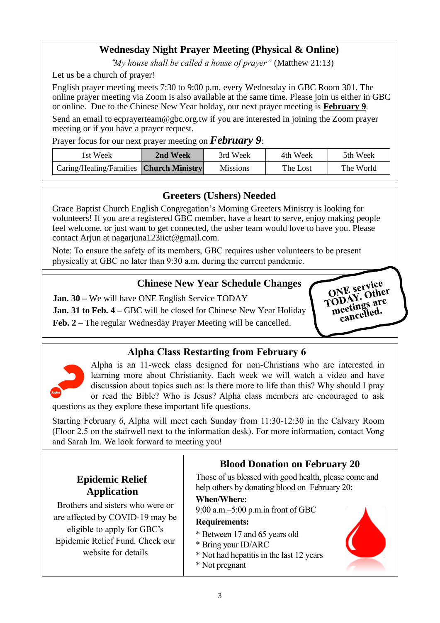## **Wednesday Night Prayer Meeting (Physical & Online)**

"*My house shall be called a house of prayer"* (Matthew 21:13)

Let us be a church of prayer!

English prayer meeting meets 7:30 to 9:00 p.m. every Wednesday in GBC Room 301. The online prayer meeting via Zoom is also available at the same time. Please join us either in GBC or online. Due to the Chinese New Year holday, our next prayer meeting is **February 9**.

Send an email to ecprayerteam@gbc.org.tw if you are interested in joining the Zoom prayer meeting or if you have a prayer request.

Prayer focus for our next prayer meeting on *February 9*:

| lst Week                                       | 2nd Week | 3rd Week | 4th Week | 5th Week  |
|------------------------------------------------|----------|----------|----------|-----------|
| Caring/Healing/Families <b>Church Ministry</b> |          | Missions | The Lost | The World |

## **Greeters (Ushers) Needed**

Grace Baptist Church English Congregation's Morning Greeters Ministry is looking for volunteers! If you are a registered GBC member, have a heart to serve, enjoy making people feel welcome, or just want to get connected, the usher team would love to have you. Please contact Arjun at nagarjuna123iict@gmail.com.

Note: To ensure the safety of its members, GBC requires usher volunteers to be present physically at GBC no later than 9:30 a.m. during the current pandemic.

## **Chinese New Year Schedule Changes**

**Jan. 30 –** We will have ONE English Service TODAY

**Jan. 31 to Feb. 4 –** GBC will be closed for Chinese New Year Holiday **Feb. 2 –** The regular Wednesday Prayer Meeting will be cancelled.



## **Alpha Class Restarting from February 6**



Alpha is an 11-week class designed for non-Christians who are interested in learning more about Christianity. Each week we will watch a video and have discussion about topics such as: Is there more to life than this? Why should I pray or read the Bible? Who is Jesus? Alpha class members are encouraged to ask questions as they explore these important life questions.

Starting February 6, Alpha will meet each Sunday from 11:30-12:30 in the Calvary Room (Floor 2.5 on the stairwell next to the information desk). For more information, contact Vong and Sarah Im. We look forward to meeting you!

|                                                                                                                                                              | <b>Blood Donation on February 20</b>                                                                                                                                                                         |  |  |
|--------------------------------------------------------------------------------------------------------------------------------------------------------------|--------------------------------------------------------------------------------------------------------------------------------------------------------------------------------------------------------------|--|--|
| <b>Epidemic Relief</b><br><b>Application</b>                                                                                                                 | Those of us blessed with good health, please come and<br>help others by donating blood on February 20:                                                                                                       |  |  |
| Brothers and sisters who were or<br>are affected by COVID-19 may be<br>eligible to apply for GBC's<br>Epidemic Relief Fund. Check our<br>website for details | <b>When/Where:</b><br>$9:00$ a.m. $-5:00$ p.m. in front of GBC<br><b>Requirements:</b><br>* Between 17 and 65 years old<br>* Bring your ID/ARC<br>* Not had hepatitis in the last 12 years<br>* Not pregnant |  |  |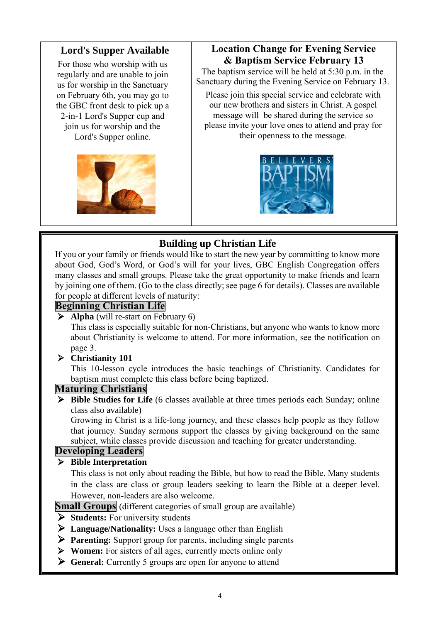## **Lord's Supper Available**

For those who worship with us regularly and are unable to join us for worship in the Sanctuary on February 6th, you may go to the GBC front desk to pick up a 2-in-1 Lord's Supper cup and join us for worship and the Lord's Supper online.



# **Location Change for Evening Service & Baptism Service February 13**

The baptism service will be held at 5:30 p.m. in the Sanctuary during the Evening Service on February 13.

Please join this special service and celebrate with our new brothers and sisters in Christ. A gospel message will be shared during the service so please invite your love ones to attend and pray for their openness to the message.



# **Building up Christian Life**

If you or your family or friends would like to start the new year by committing to know more about God, God's Word, or God's will for your lives, GBC English Congregation offers many classes and small groups. Please take the great opportunity to make friends and learn by joining one of them. (Go to the class directly; see page 6 for details). Classes are available for people at different levels of maturity:

## **Beginning Christian Life**

➢ **Alpha** (will re-start on February 6)

This class is especially suitable for non-Christians, but anyone who wants to know more about Christianity is welcome to attend. For more information, see the notification on page 3.

## ➢ **Christianity 101**

This 10-lesson cycle introduces the basic teachings of Christianity. Candidates for baptism must complete this class before being baptized.

## **Maturing Christians**

➢ **Bible Studies for Life** (6 classes available at three times periods each Sunday; online class also available)

Growing in Christ is a life-long journey, and these classes help people as they follow that journey. Sunday sermons support the classes by giving background on the same subject, while classes provide discussion and teaching for greater understanding.

## **Developing Leaders**

## ➢ **Bible Interpretation**

This class is not only about reading the Bible, but how to read the Bible. Many students in the class are class or group leaders seeking to learn the Bible at a deeper level. However, non-leaders are also welcome.

**Small Groups** (different categories of small group are available)

- ➢ **Students:** For university students
- ➢ **Language/Nationality:** Uses a language other than English
- ➢ **Parenting:** Support group for parents, including single parents
- ➢ **Women:** For sisters of all ages, currently meets online only
- ➢ **General:** Currently 5 groups are open for anyone to attend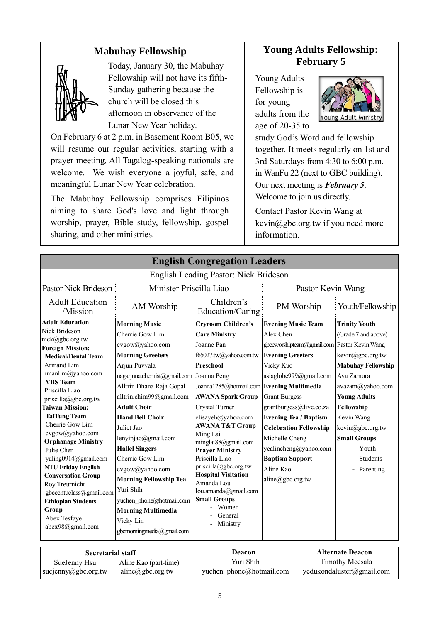## **Mabuhay Fellowship**



Today, January 30, the Mabuhay Fellowship will not have its fifth-Sunday gathering because the church will be closed this afternoon in observance of the Lunar New Year holiday.

On February 6 at 2 p.m. in Basement Room B05, we will resume our regular activities, starting with a prayer meeting. All Tagalog-speaking nationals are welcome. We wish everyone a joyful, safe, and meaningful Lunar New Year celebration.

The Mabuhay Fellowship comprises Filipinos aiming to share God's love and light through worship, prayer, Bible study, fellowship, gospel sharing, and other ministries.

## **Young Adults Fellowship: February 5**

Young Adults Fellowship is for young adults from the age of 20-35 to



study God's Word and fellowship together. It meets regularly on 1st and 3rd Saturdays from 4:30 to 6:00 p.m. in WanFu 22 (next to GBC building). Our next meeting is *February 5*. Welcome to join us directly.

Contact Pastor Kevin Wang at kevin@gbc.org.tw if you need more information.

|                                                                                                                                                                                                                                                                                                                                                                                                                                                                                                                                                                | <b>English Congregation Leaders</b>                                                                                                                                                                                                                                                                                                                                                                                                                                                                           |                                                                                                                                                                                                                                                                                                                                                                                                                                                                                                |                                                                                                                                                                                                                                                                                                                                                                                   |                                                                                                                                                                                                                                                                           |  |
|----------------------------------------------------------------------------------------------------------------------------------------------------------------------------------------------------------------------------------------------------------------------------------------------------------------------------------------------------------------------------------------------------------------------------------------------------------------------------------------------------------------------------------------------------------------|---------------------------------------------------------------------------------------------------------------------------------------------------------------------------------------------------------------------------------------------------------------------------------------------------------------------------------------------------------------------------------------------------------------------------------------------------------------------------------------------------------------|------------------------------------------------------------------------------------------------------------------------------------------------------------------------------------------------------------------------------------------------------------------------------------------------------------------------------------------------------------------------------------------------------------------------------------------------------------------------------------------------|-----------------------------------------------------------------------------------------------------------------------------------------------------------------------------------------------------------------------------------------------------------------------------------------------------------------------------------------------------------------------------------|---------------------------------------------------------------------------------------------------------------------------------------------------------------------------------------------------------------------------------------------------------------------------|--|
|                                                                                                                                                                                                                                                                                                                                                                                                                                                                                                                                                                |                                                                                                                                                                                                                                                                                                                                                                                                                                                                                                               | <b>English Leading Pastor: Nick Brideson</b>                                                                                                                                                                                                                                                                                                                                                                                                                                                   |                                                                                                                                                                                                                                                                                                                                                                                   |                                                                                                                                                                                                                                                                           |  |
| <b>Pastor Nick Brideson</b>                                                                                                                                                                                                                                                                                                                                                                                                                                                                                                                                    | Minister Priscilla Liao                                                                                                                                                                                                                                                                                                                                                                                                                                                                                       |                                                                                                                                                                                                                                                                                                                                                                                                                                                                                                | Pastor Kevin Wang                                                                                                                                                                                                                                                                                                                                                                 |                                                                                                                                                                                                                                                                           |  |
| <b>Adult Education</b><br>/Mission                                                                                                                                                                                                                                                                                                                                                                                                                                                                                                                             | AM Worship                                                                                                                                                                                                                                                                                                                                                                                                                                                                                                    | Children's<br>Education/Caring                                                                                                                                                                                                                                                                                                                                                                                                                                                                 | PM Worship                                                                                                                                                                                                                                                                                                                                                                        | Youth/Fellowship                                                                                                                                                                                                                                                          |  |
| <b>Adult Education</b><br>Nick Brideson<br>nick@gbc.org.tw<br><b>Foreign Mission:</b><br><b>Medical/Dental Team</b><br>Armand Lim<br>rmanlim@yahoo.com<br><b>VBS</b> Team<br>Priscilla Liao<br>priscilla@gbc.org.tw<br><b>Taiwan Mission:</b><br><b>TaiTung Team</b><br>Cherrie Gow Lim<br>cvgow@yahoo.com<br><b>Orphanage Ministry</b><br>Julie Chen<br>yuling0914@gmail.com<br><b>NTU Friday English</b><br><b>Conversation Group</b><br>Roy Treurnicht<br>gbcecntuclass@gmail.com<br><b>Ethiopian Students</b><br>Group<br>Abex Tesfaye<br>abex98@gmail.com | <b>Morning Music</b><br>Cherrie Gow Lim<br>cvgow@yahoo.com<br><b>Morning Greeters</b><br>Arjun Puvvala<br>nagarjuna.chemist@gmail.com Joanna Peng<br>Alltrin Dhana Raja Gopal<br>alltrin.chim99@gmail.com<br><b>Adult Choir</b><br><b>Hand Bell Choir</b><br>Juliet Jao<br>lenyinjao@gmail.com<br><b>Hallel Singers</b><br>Cherrie Gow Lim<br>cvgow@yahoo.com<br><b>Morning Fellowship Tea</b><br>Yuri Shih<br>yuchen phone@hotmail.com<br><b>Morning Multimedia</b><br>Vicky Lin<br>gbcmomingmedia@gmail.com | <b>Cryroom Children's</b><br><b>Care Ministry</b><br>Joanne Pan<br>f65027.tw@yahoo.com.tw<br><b>Preschool</b><br>Joanna1285@hotmail.com Evening Multimedia<br><b>AWANA Spark Group</b><br>Crystal Turner<br>elisayeh@yahoo.com<br><b>AWANA T&amp;T Group</b><br>Ming Lai<br>minglai88@gmail.com<br><b>Prayer Ministry</b><br>Priscilla Liao<br>priscilla@gbc.org.tw<br><b>Hospital Visitation</b><br>Amanda Lou<br>lou.amanda@gmail.com<br><b>Small Groups</b><br>Women<br>General<br>Ministry | <b>Evening Music Team</b><br>Alex Chen<br>gbceworshipteam@gmail.com Pastor Kevin Wang<br><b>Evening Greeters</b><br>Vicky Kuo<br>asiaglobe999@gmail.com<br><b>Grant Burgess</b><br>grantburgess@live.co.za<br><b>Evening Tea / Baptism</b><br><b>Celebration Fellowship</b><br>Michelle Cheng<br>yealincheng@yahoo.com<br><b>Baptism Support</b><br>Aline Kao<br>aline@gbc.org.tw | <b>Trinity Youth</b><br>(Grade 7 and above)<br>kevin@gbc.org.tw<br><b>Mabuhay Fellowship</b><br>Ava Zamora<br>avazam@yahoo.com<br><b>Young Adults</b><br>Fellowship<br>Kevin Wang<br>kevin@gbc.org.tw<br><b>Small Groups</b><br>- Youth<br><b>Students</b><br>- Parenting |  |
| Alternate Deacon<br>Deacon<br>Secretorial staff                                                                                                                                                                                                                                                                                                                                                                                                                                                                                                                |                                                                                                                                                                                                                                                                                                                                                                                                                                                                                                               |                                                                                                                                                                                                                                                                                                                                                                                                                                                                                                |                                                                                                                                                                                                                                                                                                                                                                                   |                                                                                                                                                                                                                                                                           |  |

#### **Secretarial staff** SueJenny Hsu suejenny@gbc.org.tw Aline Kao (part-time) aline@gbc.org.tw

| <b>Deacon</b>            | <b>Alternate Deacon</b>   |
|--------------------------|---------------------------|
| Yuri Shih                | Timothy Meesala           |
| yuchen phone@hotmail.com | yedukondaluster@gmail.com |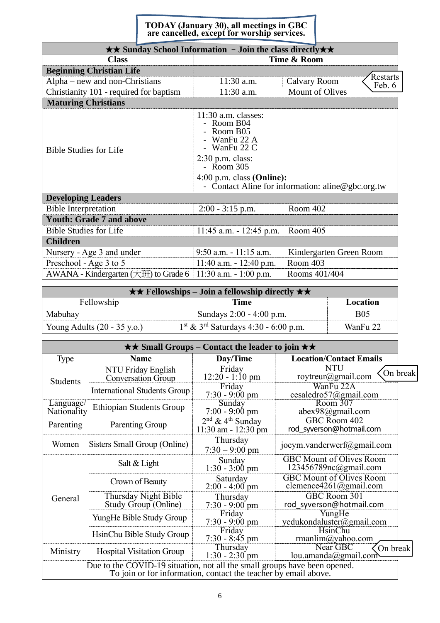#### **TODAY (January 30), all meetings in GBC are cancelled, except for worship services.**

| $\star \star$ Sunday School Information - Join the class directly $\star \star$ |                                                                                                                                                                                                         |                                    |  |  |
|---------------------------------------------------------------------------------|---------------------------------------------------------------------------------------------------------------------------------------------------------------------------------------------------------|------------------------------------|--|--|
| <b>Class</b>                                                                    |                                                                                                                                                                                                         | Time & Room                        |  |  |
| <b>Beginning Christian Life</b>                                                 |                                                                                                                                                                                                         |                                    |  |  |
| Alpha – new and non-Christians                                                  | 11:30 a.m.                                                                                                                                                                                              | Restarts<br>Calvary Room<br>Feb. 6 |  |  |
| Christianity 101 - required for baptism                                         | 11:30 a.m.                                                                                                                                                                                              | <b>Mount of Olives</b>             |  |  |
| <b>Maturing Christians</b>                                                      |                                                                                                                                                                                                         |                                    |  |  |
| <b>Bible Studies for Life</b>                                                   | $11:30$ a.m. classes:<br>- Room B04<br>- Room B05<br>WanFu 22 A<br>- WanFu 22 C<br>$2:30$ p.m. class:<br>- Room 305<br>$4:00$ p.m. class (Online):<br>- Contact Aline for information: aline@gbc.org.tw |                                    |  |  |
| <b>Developing Leaders</b>                                                       |                                                                                                                                                                                                         |                                    |  |  |
| <b>Bible Interpretation</b>                                                     | $2:00 - 3:15$ p.m.                                                                                                                                                                                      | Room 402                           |  |  |
| <b>Youth: Grade 7 and above</b>                                                 |                                                                                                                                                                                                         |                                    |  |  |
| <b>Bible Studies for Life</b>                                                   | $11:45$ a.m. $-12:45$ p.m.                                                                                                                                                                              | Room 405                           |  |  |
| <b>Children</b>                                                                 |                                                                                                                                                                                                         |                                    |  |  |
| Nursery - Age 3 and under                                                       | $9:50$ a.m. $-11:15$ a.m.                                                                                                                                                                               | Kindergarten Green Room            |  |  |
| Preschool - Age 3 to 5                                                          | $11:40$ a.m. $-12:40$ p.m.                                                                                                                                                                              | Room 403                           |  |  |
| AWANA - Kindergarten $(\pm 1)$ to Grade 6                                       | $11:30$ a.m. $-1:00$ p.m.                                                                                                                                                                               | Rooms 401/404                      |  |  |

| $\star \star$ Fellowships – Join a fellowship directly $\star \star$ |                                                    |            |  |
|----------------------------------------------------------------------|----------------------------------------------------|------------|--|
| Fellowship                                                           | Time                                               | Location   |  |
| Mabuhay                                                              | Sundays 2:00 - 4:00 p.m.                           | <b>B05</b> |  |
| Young Adults $(20 - 35 \text{ y.o.})$                                | $1st$ & 3 <sup>rd</sup> Saturdays 4:30 - 6:00 p.m. | WanFu 22   |  |

| $\star\star$ Small Groups – Contact the leader to join $\star\star$                                                                          |                                              |                                                           |                                                           |          |  |
|----------------------------------------------------------------------------------------------------------------------------------------------|----------------------------------------------|-----------------------------------------------------------|-----------------------------------------------------------|----------|--|
| Type                                                                                                                                         | <b>Name</b>                                  | Day/Time                                                  | <b>Location/Contact Emails</b>                            |          |  |
| <b>Students</b>                                                                                                                              | NTU Friday English<br>Conversation Group     | Friday<br>$12:20 - 1:10 \text{ pm}$                       | <b>NTU</b><br>roytreur@gmail.com                          | On break |  |
|                                                                                                                                              | <b>International Students Group</b>          | Friday<br>$7:30 - 9:00 \text{ pm}$                        | WanFu 22A<br>cesaledro57@gmail.com                        |          |  |
| Language/<br>Nationality                                                                                                                     | <b>Ethiopian Students Group</b>              | Sunday<br>$7:00 - 9:00$ pm                                | Room 307<br>abex98@gmail.com                              |          |  |
| Parenting                                                                                                                                    | Parenting Group                              | $2nd$ & 4 <sup>th</sup> Sunday<br>$11:30$ am - $12:30$ pm | GBC Room 402<br>rod syverson@hotmail.com                  |          |  |
| Women                                                                                                                                        | Sisters Small Group (Online)                 | Thursday<br>$7:30 - 9:00$ pm                              | joeym.vanderwerf@gmail.com                                |          |  |
|                                                                                                                                              | Salt & Light                                 | Sunday<br>$1:30 - 3:00$ pm                                | <b>GBC Mount of Olives Room</b><br>123456789nc@gmail.com  |          |  |
|                                                                                                                                              | Crown of Beauty                              | Saturday<br>$2:00 - 4:00$ pm                              | <b>GBC Mount of Olives Room</b><br>clemence4261@gmail.com |          |  |
| General                                                                                                                                      | Thursday Night Bible<br>Study Group (Online) | Thursday<br>$7:30 - 9:00$ pm                              | GBC Room 301<br>rod syverson@hotmail.com                  |          |  |
|                                                                                                                                              | YungHe Bible Study Group                     | Friday<br>$7:30 - 9:00$ pm                                | YungHe<br>yedukondaluster@gmail.com                       |          |  |
|                                                                                                                                              | HsinChu Bible Study Group                    | Friday<br>$7:30 - 8:45$ pm                                | HsinChu<br>rmanlim@yahoo.com                              |          |  |
| Ministry                                                                                                                                     | <b>Hospital Visitation Group</b>             | Thursday<br>$1:30 - 2:30$ pm                              | Near GBC<br>On break<br>lou.amanda@gmail.com              |          |  |
| Due to the COVID-19 situation, not all the small groups have been opened.<br>To join or for information, contact the teacher by email above. |                                              |                                                           |                                                           |          |  |